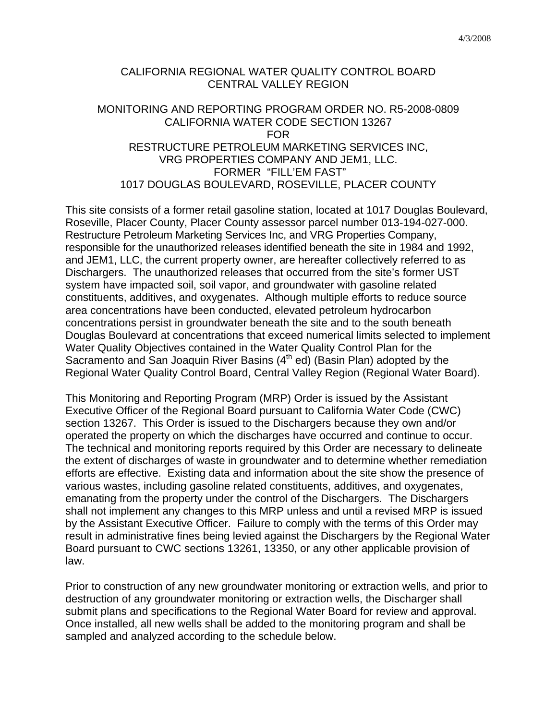4/3/2008

## CALIFORNIA REGIONAL WATER QUALITY CONTROL BOARD CENTRAL VALLEY REGION

## MONITORING AND REPORTING PROGRAM ORDER NO. R5-2008-0809 CALIFORNIA WATER CODE SECTION 13267 FOR RESTRUCTURE PETROLEUM MARKETING SERVICES INC, VRG PROPERTIES COMPANY AND JEM1, LLC. FORMER "FILL'EM FAST" 1017 DOUGLAS BOULEVARD, ROSEVILLE, PLACER COUNTY

This site consists of a former retail gasoline station, located at 1017 Douglas Boulevard, Roseville, Placer County, Placer County assessor parcel number 013-194-027-000. Restructure Petroleum Marketing Services Inc, and VRG Properties Company, responsible for the unauthorized releases identified beneath the site in 1984 and 1992, and JEM1, LLC, the current property owner, are hereafter collectively referred to as Dischargers. The unauthorized releases that occurred from the site's former UST system have impacted soil, soil vapor, and groundwater with gasoline related constituents, additives, and oxygenates. Although multiple efforts to reduce source area concentrations have been conducted, elevated petroleum hydrocarbon concentrations persist in groundwater beneath the site and to the south beneath Douglas Boulevard at concentrations that exceed numerical limits selected to implement Water Quality Objectives contained in the Water Quality Control Plan for the Sacramento and San Joaquin River Basins  $(4<sup>th</sup>$  ed) (Basin Plan) adopted by the Regional Water Quality Control Board, Central Valley Region (Regional Water Board).

This Monitoring and Reporting Program (MRP) Order is issued by the Assistant Executive Officer of the Regional Board pursuant to California Water Code (CWC) section 13267. This Order is issued to the Dischargers because they own and/or operated the property on which the discharges have occurred and continue to occur. The technical and monitoring reports required by this Order are necessary to delineate the extent of discharges of waste in groundwater and to determine whether remediation efforts are effective. Existing data and information about the site show the presence of various wastes, including gasoline related constituents, additives, and oxygenates, emanating from the property under the control of the Dischargers. The Dischargers shall not implement any changes to this MRP unless and until a revised MRP is issued by the Assistant Executive Officer. Failure to comply with the terms of this Order may result in administrative fines being levied against the Dischargers by the Regional Water Board pursuant to CWC sections 13261, 13350, or any other applicable provision of law.

Prior to construction of any new groundwater monitoring or extraction wells, and prior to destruction of any groundwater monitoring or extraction wells, the Discharger shall submit plans and specifications to the Regional Water Board for review and approval. Once installed, all new wells shall be added to the monitoring program and shall be sampled and analyzed according to the schedule below.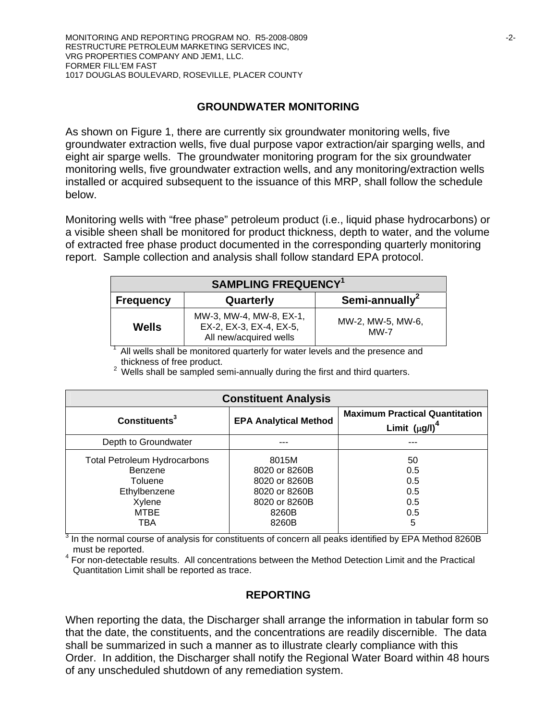## **GROUNDWATER MONITORING**

As shown on Figure 1, there are currently six groundwater monitoring wells, five groundwater extraction wells, five dual purpose vapor extraction/air sparging wells, and eight air sparge wells. The groundwater monitoring program for the six groundwater monitoring wells, five groundwater extraction wells, and any monitoring/extraction wells installed or acquired subsequent to the issuance of this MRP, shall follow the schedule below.

Monitoring wells with "free phase" petroleum product (i.e., liquid phase hydrocarbons) or a visible sheen shall be monitored for product thickness, depth to water, and the volume of extracted free phase product documented in the corresponding quarterly monitoring report. Sample collection and analysis shall follow standard EPA protocol.

| <b>SAMPLING FREQUENCY<sup>1</sup></b> |                                                                              |                             |  |
|---------------------------------------|------------------------------------------------------------------------------|-----------------------------|--|
| <b>Frequency</b>                      | Quarterly                                                                    | Semi-annually <sup>2</sup>  |  |
| <b>Wells</b>                          | MW-3, MW-4, MW-8, EX-1,<br>EX-2, EX-3, EX-4, EX-5,<br>All new/acquired wells | MW-2, MW-5, MW-6,<br>$MW-7$ |  |

 $1$  All wells shall be monitored quarterly for water levels and the presence and thickness of free product.

 $2$  Wells shall be sampled semi-annually during the first and third quarters.

| <b>Constituent Analysis</b>                                                                               |                                                                                             |                                                              |  |
|-----------------------------------------------------------------------------------------------------------|---------------------------------------------------------------------------------------------|--------------------------------------------------------------|--|
| Constituents <sup>3</sup>                                                                                 | <b>EPA Analytical Method</b>                                                                | <b>Maximum Practical Quantitation</b><br>Limit $(\mu g/l)^4$ |  |
| Depth to Groundwater                                                                                      |                                                                                             |                                                              |  |
| <b>Total Petroleum Hydrocarbons</b><br>Benzene<br>Toluene<br>Ethylbenzene<br>Xylene<br><b>MTBE</b><br>TBA | 8015M<br>8020 or 8260B<br>8020 or 8260B<br>8020 or 8260B<br>8020 or 8260B<br>8260B<br>8260B | 50<br>0.5<br>0.5<br>0.5<br>0.5<br>0.5<br>5                   |  |

 $3$  In the normal course of analysis for constituents of concern all peaks identified by EPA Method 8260B must be reported.

4 For non-detectable results. All concentrations between the Method Detection Limit and the Practical Quantitation Limit shall be reported as trace.

## **REPORTING**

When reporting the data, the Discharger shall arrange the information in tabular form so that the date, the constituents, and the concentrations are readily discernible. The data shall be summarized in such a manner as to illustrate clearly compliance with this Order. In addition, the Discharger shall notify the Regional Water Board within 48 hours of any unscheduled shutdown of any remediation system.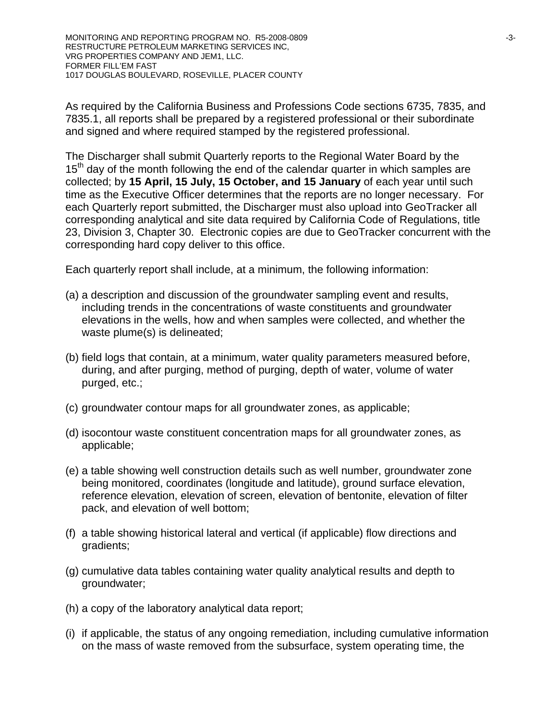MONITORING AND REPORTING PROGRAM NO. R5-2008-0809  $-3$ -3-RESTRUCTURE PETROLEUM MARKETING SERVICES INC, VRG PROPERTIES COMPANY AND JEM1, LLC. FORMER FILL'EM FAST 1017 DOUGLAS BOULEVARD, ROSEVILLE, PLACER COUNTY

As required by the California Business and Professions Code sections 6735, 7835, and 7835.1, all reports shall be prepared by a registered professional or their subordinate and signed and where required stamped by the registered professional.

The Discharger shall submit Quarterly reports to the Regional Water Board by the  $15<sup>th</sup>$  day of the month following the end of the calendar quarter in which samples are collected; by **15 April, 15 July, 15 October, and 15 January** of each year until such time as the Executive Officer determines that the reports are no longer necessary. For each Quarterly report submitted, the Discharger must also upload into GeoTracker all corresponding analytical and site data required by California Code of Regulations, title 23, Division 3, Chapter 30. Electronic copies are due to GeoTracker concurrent with the corresponding hard copy deliver to this office.

Each quarterly report shall include, at a minimum, the following information:

- (a) a description and discussion of the groundwater sampling event and results, including trends in the concentrations of waste constituents and groundwater elevations in the wells, how and when samples were collected, and whether the waste plume(s) is delineated;
- (b) field logs that contain, at a minimum, water quality parameters measured before, during, and after purging, method of purging, depth of water, volume of water purged, etc.;
- (c) groundwater contour maps for all groundwater zones, as applicable;
- (d) isocontour waste constituent concentration maps for all groundwater zones, as applicable;
- (e) a table showing well construction details such as well number, groundwater zone being monitored, coordinates (longitude and latitude), ground surface elevation, reference elevation, elevation of screen, elevation of bentonite, elevation of filter pack, and elevation of well bottom;
- (f) a table showing historical lateral and vertical (if applicable) flow directions and gradients;
- (g) cumulative data tables containing water quality analytical results and depth to groundwater;
- (h) a copy of the laboratory analytical data report;
- (i) if applicable, the status of any ongoing remediation, including cumulative information on the mass of waste removed from the subsurface, system operating time, the